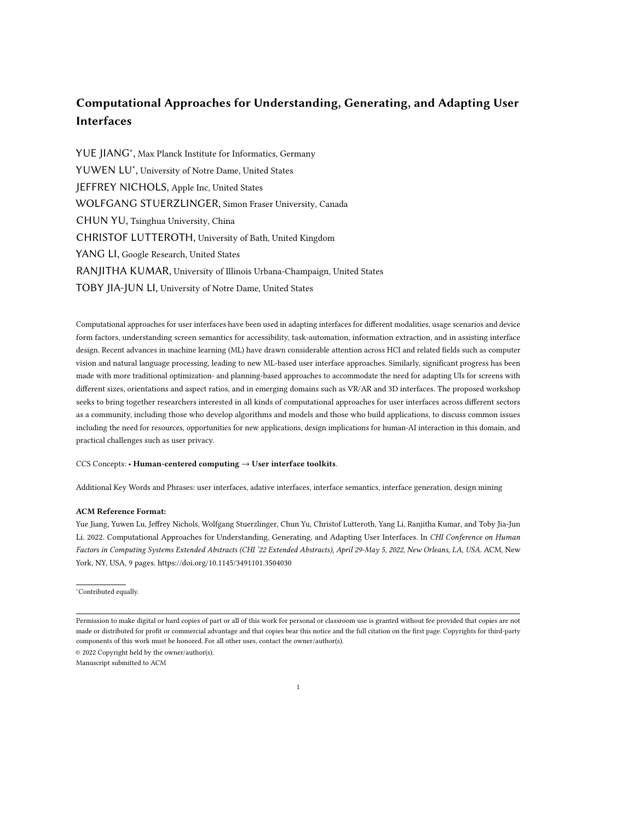# Computational Approaches for Understanding, Generating, and Adapting User Interfaces

YUE JIANG<sup>∗</sup> , Max Planck Institute for Informatics, Germany YUWEN LU<sup>∗</sup> , University of Notre Dame, United States JEFFREY NICHOLS, Apple Inc, United States WOLFGANG STUERZLINGER, Simon Fraser University, Canada CHUN YU, Tsinghua University, China CHRISTOF LUTTEROTH, University of Bath, United Kingdom YANG LI, Google Research, United States RANJITHA KUMAR, University of Illinois Urbana-Champaign, United States TOBY JIA-JUN LI, University of Notre Dame, United States

Computational approaches for user interfaces have been used in adapting interfaces for different modalities, usage scenarios and device form factors, understanding screen semantics for accessibility, task-automation, information extraction, and in assisting interface design. Recent advances in machine learning (ML) have drawn considerable attention across HCI and related fields such as computer vision and natural language processing, leading to new ML-based user interface approaches. Similarly, significant progress has been made with more traditional optimization- and planning-based approaches to accommodate the need for adapting UIs for screens with different sizes, orientations and aspect ratios, and in emerging domains such as VR/AR and 3D interfaces. The proposed workshop seeks to bring together researchers interested in all kinds of computational approaches for user interfaces across different sectors as a community, including those who develop algorithms and models and those who build applications, to discuss common issues including the need for resources, opportunities for new applications, design implications for human-AI interaction in this domain, and practical challenges such as user privacy.

# CCS Concepts: • Human-centered computing → User interface toolkits.

Additional Key Words and Phrases: user interfaces, adative interfaces, interface semantics, interface generation, design mining

### ACM Reference Format:

Yue Jiang, Yuwen Lu, Jeffrey Nichols, Wolfgang Stuerzlinger, Chun Yu, Christof Lutteroth, Yang Li, Ranjitha Kumar, and Toby Jia-Jun Li. 2022. Computational Approaches for Understanding, Generating, and Adapting User Interfaces. In CHI Conference on Human Factors in Computing Systems Extended Abstracts (CHI '22 Extended Abstracts), April 29-May 5, 2022, New Orleans, LA, USA. ACM, New York, NY, USA, [9](#page-8-0) pages.<https://doi.org/10.1145/3491101.3504030>

<sup>∗</sup>Contributed equally.

© 2022 Copyright held by the owner/author(s).

Manuscript submitted to ACM

Permission to make digital or hard copies of part or all of this work for personal or classroom use is granted without fee provided that copies are not made or distributed for profit or commercial advantage and that copies bear this notice and the full citation on the first page. Copyrights for third-party components of this work must be honored. For all other uses, contact the owner/author(s).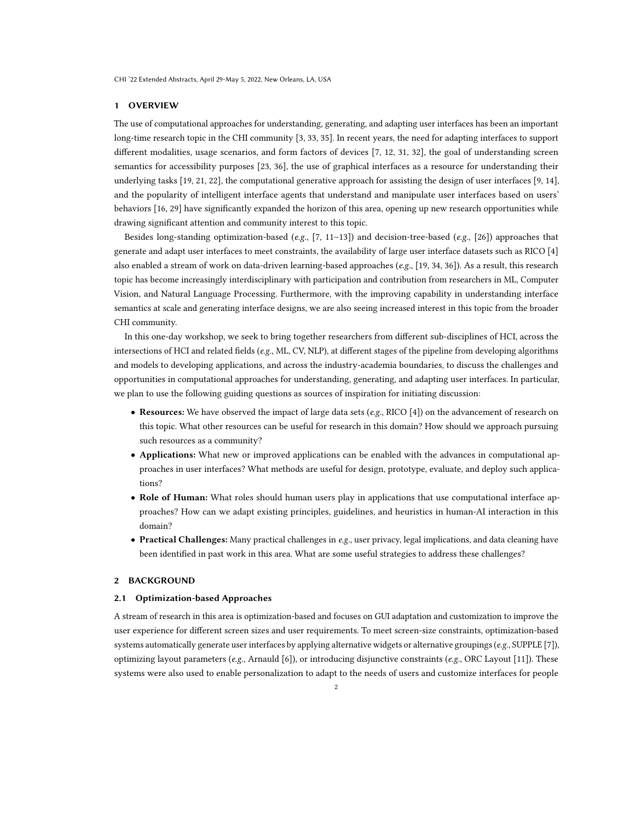# 1 OVERVIEW

The use of computational approaches for understanding, generating, and adapting user interfaces has been an important long-time research topic in the CHI community [\[3,](#page-7-0) [33,](#page-8-1) [35\]](#page-8-2). In recent years, the need for adapting interfaces to support different modalities, usage scenarios, and form factors of devices [\[7,](#page-7-1) [12,](#page-7-2) [31,](#page-8-3) [32\]](#page-8-4), the goal of understanding screen semantics for accessibility purposes [\[23,](#page-8-5) [36\]](#page-8-6), the use of graphical interfaces as a resource for understanding their underlying tasks [\[19,](#page-8-7) [21,](#page-8-8) [22\]](#page-8-9), the computational generative approach for assisting the design of user interfaces [\[9,](#page-7-3) [14\]](#page-7-4), and the popularity of intelligent interface agents that understand and manipulate user interfaces based on users' behaviors [\[16,](#page-7-5) [29\]](#page-8-10) have significantly expanded the horizon of this area, opening up new research opportunities while drawing significant attention and community interest to this topic.

Besides long-standing optimization-based (e.g.,  $[7, 11-13]$  $[7, 11-13]$  $[7, 11-13]$  $[7, 11-13]$ ) and decision-tree-based (e.g.,  $[26]$ ) approaches that generate and adapt user interfaces to meet constraints, the availability of large user interface datasets such as RICO [\[4\]](#page-7-8) also enabled a stream of work on data-driven learning-based approaches (e.g., [\[19,](#page-8-7) [34,](#page-8-12) [36\]](#page-8-6)). As a result, this research topic has become increasingly interdisciplinary with participation and contribution from researchers in ML, Computer Vision, and Natural Language Processing. Furthermore, with the improving capability in understanding interface semantics at scale and generating interface designs, we are also seeing increased interest in this topic from the broader CHI community.

In this one-day workshop, we seek to bring together researchers from different sub-disciplines of HCI, across the intersections of HCI and related fields (e.g., ML, CV, NLP), at different stages of the pipeline from developing algorithms and models to developing applications, and across the industry-academia boundaries, to discuss the challenges and opportunities in computational approaches for understanding, generating, and adapting user interfaces. In particular, we plan to use the following guiding questions as sources of inspiration for initiating discussion:

- Resources: We have observed the impact of large data sets (e.g., RICO [\[4\]](#page-7-8)) on the advancement of research on this topic. What other resources can be useful for research in this domain? How should we approach pursuing such resources as a community?
- Applications: What new or improved applications can be enabled with the advances in computational approaches in user interfaces? What methods are useful for design, prototype, evaluate, and deploy such applications?
- Role of Human: What roles should human users play in applications that use computational interface approaches? How can we adapt existing principles, guidelines, and heuristics in human-AI interaction in this domain?
- Practical Challenges: Many practical challenges in e.g., user privacy, legal implications, and data cleaning have been identified in past work in this area. What are some useful strategies to address these challenges?

# 2 BACKGROUND

#### 2.1 Optimization-based Approaches

A stream of research in this area is optimization-based and focuses on GUI adaptation and customization to improve the user experience for different screen sizes and user requirements. To meet screen-size constraints, optimization-based systems automatically generate user interfaces by applying alternative widgets or alternative groupings ( $e.g.,$  SUPPLE [\[7\]](#page-7-1)), optimizing layout parameters (e.g., Arnauld [\[6\]](#page-7-9)), or introducing disjunctive constraints (e.g., ORC Layout [\[11\]](#page-7-6)). These systems were also used to enable personalization to adapt to the needs of users and customize interfaces for people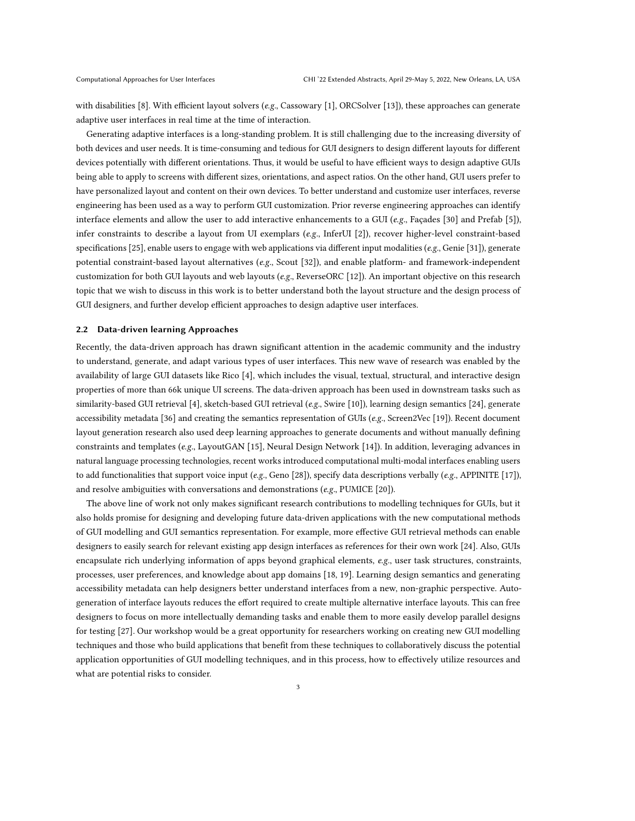with disabilities [\[8\]](#page-7-10). With efficient layout solvers (e.g., Cassowary [\[1\]](#page-7-11), ORCSolver [\[13\]](#page-7-7)), these approaches can generate adaptive user interfaces in real time at the time of interaction.

Generating adaptive interfaces is a long-standing problem. It is still challenging due to the increasing diversity of both devices and user needs. It is time-consuming and tedious for GUI designers to design different layouts for different devices potentially with different orientations. Thus, it would be useful to have efficient ways to design adaptive GUIs being able to apply to screens with different sizes, orientations, and aspect ratios. On the other hand, GUI users prefer to have personalized layout and content on their own devices. To better understand and customize user interfaces, reverse engineering has been used as a way to perform GUI customization. Prior reverse engineering approaches can identify interface elements and allow the user to add interactive enhancements to a GUI ( $e.g.,$  Façades [\[30\]](#page-8-13) and Prefab [\[5\]](#page-7-12)), infer constraints to describe a layout from UI exemplars (e.g., InferUI [\[2\]](#page-7-13)), recover higher-level constraint-based specifications [\[25\]](#page-8-14), enable users to engage with web applications via different input modalities (e.g., Genie [\[31\]](#page-8-3)), generate potential constraint-based layout alternatives (e.g., Scout [\[32\]](#page-8-4)), and enable platform- and framework-independent customization for both GUI layouts and web layouts (e.g., ReverseORC [\[12\]](#page-7-2)). An important objective on this research topic that we wish to discuss in this work is to better understand both the layout structure and the design process of GUI designers, and further develop efficient approaches to design adaptive user interfaces.

# 2.2 Data-driven learning Approaches

Recently, the data-driven approach has drawn significant attention in the academic community and the industry to understand, generate, and adapt various types of user interfaces. This new wave of research was enabled by the availability of large GUI datasets like Rico [\[4\]](#page-7-8), which includes the visual, textual, structural, and interactive design properties of more than 66k unique UI screens. The data-driven approach has been used in downstream tasks such as similarity-based GUI retrieval [\[4\]](#page-7-8), sketch-based GUI retrieval (e.g., Swire [\[10\]](#page-7-14)), learning design semantics [\[24\]](#page-8-15), generate accessibility metadata [\[36\]](#page-8-6) and creating the semantics representation of GUIs ( $e.g.,$  Screen2Vec [\[19\]](#page-8-7)). Recent document layout generation research also used deep learning approaches to generate documents and without manually defining constraints and templates (e.g., LayoutGAN [\[15\]](#page-7-15), Neural Design Network [\[14\]](#page-7-4)). In addition, leveraging advances in natural language processing technologies, recent works introduced computational multi-modal interfaces enabling users to add functionalities that support voice input (e.g., Geno [\[28\]](#page-8-16)), specify data descriptions verbally (e.g., APPINITE [\[17\]](#page-7-16)), and resolve ambiguities with conversations and demonstrations (e.g., PUMICE [\[20\]](#page-8-17)).

The above line of work not only makes significant research contributions to modelling techniques for GUIs, but it also holds promise for designing and developing future data-driven applications with the new computational methods of GUI modelling and GUI semantics representation. For example, more effective GUI retrieval methods can enable designers to easily search for relevant existing app design interfaces as references for their own work [\[24\]](#page-8-15). Also, GUIs encapsulate rich underlying information of apps beyond graphical elements, e.g., user task structures, constraints, processes, user preferences, and knowledge about app domains [\[18,](#page-8-18) [19\]](#page-8-7). Learning design semantics and generating accessibility metadata can help designers better understand interfaces from a new, non-graphic perspective. Autogeneration of interface layouts reduces the effort required to create multiple alternative interface layouts. This can free designers to focus on more intellectually demanding tasks and enable them to more easily develop parallel designs for testing [\[27\]](#page-8-19). Our workshop would be a great opportunity for researchers working on creating new GUI modelling techniques and those who build applications that benefit from these techniques to collaboratively discuss the potential application opportunities of GUI modelling techniques, and in this process, how to effectively utilize resources and what are potential risks to consider.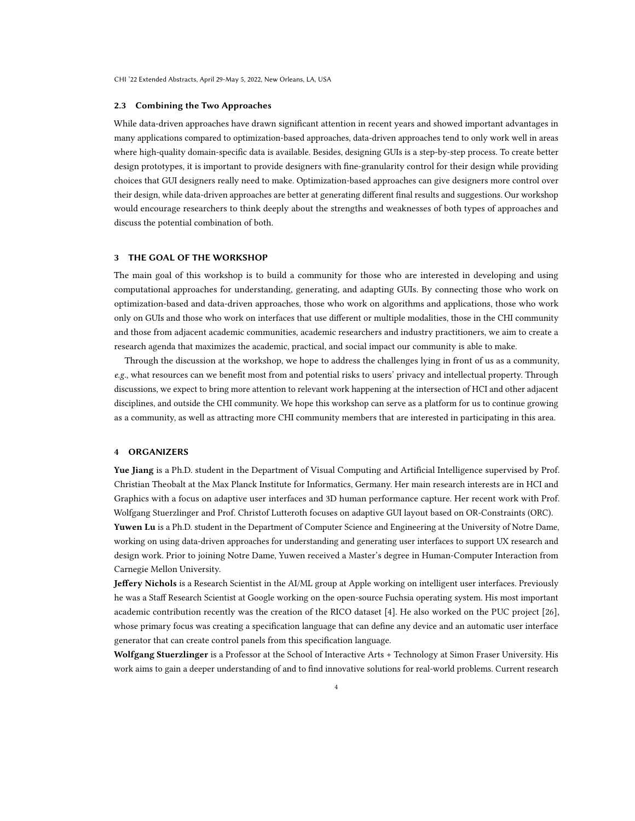#### 2.3 Combining the Two Approaches

While data-driven approaches have drawn significant attention in recent years and showed important advantages in many applications compared to optimization-based approaches, data-driven approaches tend to only work well in areas where high-quality domain-specific data is available. Besides, designing GUIs is a step-by-step process. To create better design prototypes, it is important to provide designers with fine-granularity control for their design while providing choices that GUI designers really need to make. Optimization-based approaches can give designers more control over their design, while data-driven approaches are better at generating different final results and suggestions. Our workshop would encourage researchers to think deeply about the strengths and weaknesses of both types of approaches and discuss the potential combination of both.

# 3 THE GOAL OF THE WORKSHOP

The main goal of this workshop is to build a community for those who are interested in developing and using computational approaches for understanding, generating, and adapting GUIs. By connecting those who work on optimization-based and data-driven approaches, those who work on algorithms and applications, those who work only on GUIs and those who work on interfaces that use different or multiple modalities, those in the CHI community and those from adjacent academic communities, academic researchers and industry practitioners, we aim to create a research agenda that maximizes the academic, practical, and social impact our community is able to make.

Through the discussion at the workshop, we hope to address the challenges lying in front of us as a community, e.g., what resources can we benefit most from and potential risks to users' privacy and intellectual property. Through discussions, we expect to bring more attention to relevant work happening at the intersection of HCI and other adjacent disciplines, and outside the CHI community. We hope this workshop can serve as a platform for us to continue growing as a community, as well as attracting more CHI community members that are interested in participating in this area.

# 4 ORGANIZERS

Yue Jiang is a Ph.D. student in the Department of Visual Computing and Artificial Intelligence supervised by Prof. Christian Theobalt at the Max Planck Institute for Informatics, Germany. Her main research interests are in HCI and Graphics with a focus on adaptive user interfaces and 3D human performance capture. Her recent work with Prof. Wolfgang Stuerzlinger and Prof. Christof Lutteroth focuses on adaptive GUI layout based on OR-Constraints (ORC).

Yuwen Lu is a Ph.D. student in the Department of Computer Science and Engineering at the University of Notre Dame, working on using data-driven approaches for understanding and generating user interfaces to support UX research and design work. Prior to joining Notre Dame, Yuwen received a Master's degree in Human-Computer Interaction from Carnegie Mellon University.

Jeffery Nichols is a Research Scientist in the AI/ML group at Apple working on intelligent user interfaces. Previously he was a Staff Research Scientist at Google working on the open-source Fuchsia operating system. His most important academic contribution recently was the creation of the RICO dataset [\[4\]](#page-7-8). He also worked on the PUC project [\[26\]](#page-8-11), whose primary focus was creating a specification language that can define any device and an automatic user interface generator that can create control panels from this specification language.

Wolfgang Stuerzlinger is a Professor at the School of Interactive Arts + Technology at Simon Fraser University. His work aims to gain a deeper understanding of and to find innovative solutions for real-world problems. Current research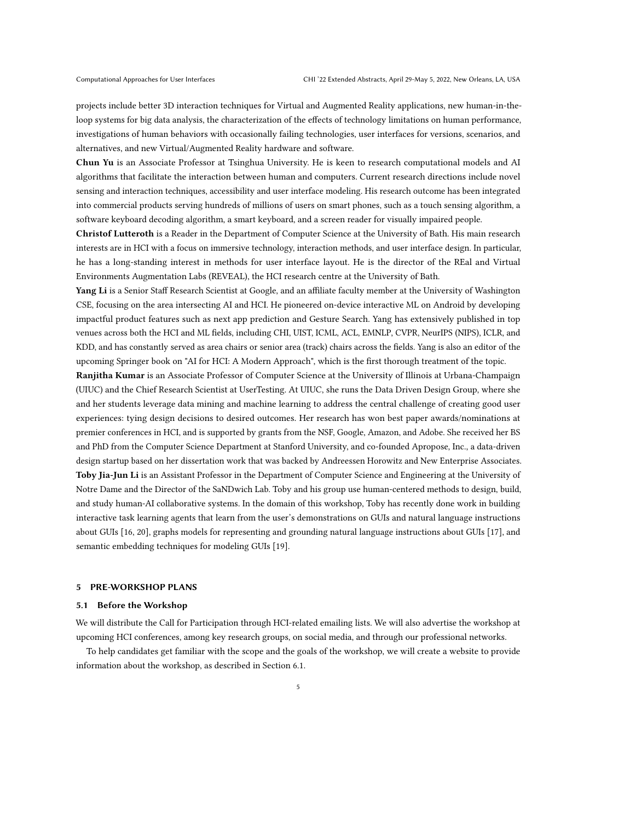projects include better 3D interaction techniques for Virtual and Augmented Reality applications, new human-in-theloop systems for big data analysis, the characterization of the effects of technology limitations on human performance, investigations of human behaviors with occasionally failing technologies, user interfaces for versions, scenarios, and alternatives, and new Virtual/Augmented Reality hardware and software.

Chun Yu is an Associate Professor at Tsinghua University. He is keen to research computational models and AI algorithms that facilitate the interaction between human and computers. Current research directions include novel sensing and interaction techniques, accessibility and user interface modeling. His research outcome has been integrated into commercial products serving hundreds of millions of users on smart phones, such as a touch sensing algorithm, a software keyboard decoding algorithm, a smart keyboard, and a screen reader for visually impaired people.

Christof Lutteroth is a Reader in the Department of Computer Science at the University of Bath. His main research interests are in HCI with a focus on immersive technology, interaction methods, and user interface design. In particular, he has a long-standing interest in methods for user interface layout. He is the director of the REal and Virtual Environments Augmentation Labs (REVEAL), the HCI research centre at the University of Bath.

Yang Li is a Senior Staff Research Scientist at Google, and an affiliate faculty member at the University of Washington CSE, focusing on the area intersecting AI and HCI. He pioneered on-device interactive ML on Android by developing impactful product features such as next app prediction and Gesture Search. Yang has extensively published in top venues across both the HCI and ML fields, including CHI, UIST, ICML, ACL, EMNLP, CVPR, NeurIPS (NIPS), ICLR, and KDD, and has constantly served as area chairs or senior area (track) chairs across the fields. Yang is also an editor of the upcoming Springer book on "AI for HCI: A Modern Approach", which is the first thorough treatment of the topic.

Ranjitha Kumar is an Associate Professor of Computer Science at the University of Illinois at Urbana-Champaign (UIUC) and the Chief Research Scientist at UserTesting. At UIUC, she runs the Data Driven Design Group, where she and her students leverage data mining and machine learning to address the central challenge of creating good user experiences: tying design decisions to desired outcomes. Her research has won best paper awards/nominations at premier conferences in HCI, and is supported by grants from the NSF, Google, Amazon, and Adobe. She received her BS and PhD from the Computer Science Department at Stanford University, and co-founded Apropose, Inc., a data-driven design startup based on her dissertation work that was backed by Andreessen Horowitz and New Enterprise Associates. Toby Jia-Jun Li is an Assistant Professor in the Department of Computer Science and Engineering at the University of Notre Dame and the Director of the SaNDwich Lab. Toby and his group use human-centered methods to design, build, and study human-AI collaborative systems. In the domain of this workshop, Toby has recently done work in building interactive task learning agents that learn from the user's demonstrations on GUIs and natural language instructions about GUIs [\[16,](#page-7-5) [20\]](#page-8-17), graphs models for representing and grounding natural language instructions about GUIs [\[17\]](#page-7-16), and semantic embedding techniques for modeling GUIs [\[19\]](#page-8-7).

# 5 PRE-WORKSHOP PLANS

#### 5.1 Before the Workshop

We will distribute the Call for Participation through HCI-related emailing lists. We will also advertise the workshop at upcoming HCI conferences, among key research groups, on social media, and through our professional networks.

To help candidates get familiar with the scope and the goals of the workshop, we will create a website to provide information about the workshop, as described in Section [6.1.](#page-5-0)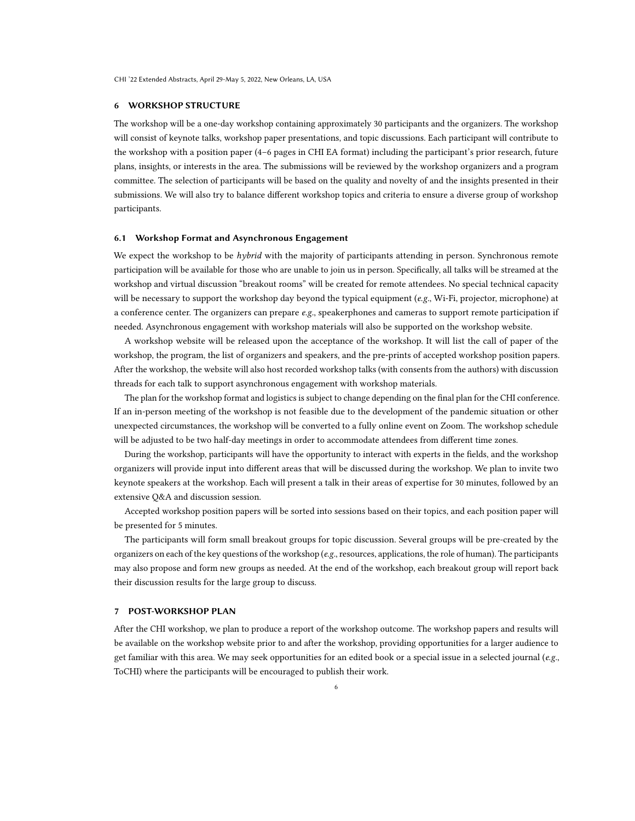# 6 WORKSHOP STRUCTURE

The workshop will be a one-day workshop containing approximately 30 participants and the organizers. The workshop will consist of keynote talks, workshop paper presentations, and topic discussions. Each participant will contribute to the workshop with a position paper (4–6 pages in CHI EA format) including the participant's prior research, future plans, insights, or interests in the area. The submissions will be reviewed by the workshop organizers and a program committee. The selection of participants will be based on the quality and novelty of and the insights presented in their submissions. We will also try to balance different workshop topics and criteria to ensure a diverse group of workshop participants.

#### <span id="page-5-0"></span>6.1 Workshop Format and Asynchronous Engagement

We expect the workshop to be *hybrid* with the majority of participants attending in person. Synchronous remote participation will be available for those who are unable to join us in person. Specifically, all talks will be streamed at the workshop and virtual discussion "breakout rooms" will be created for remote attendees. No special technical capacity will be necessary to support the workshop day beyond the typical equipment  $(e.g., Wi-Fi, projector, microphone)$  at a conference center. The organizers can prepare e.g., speakerphones and cameras to support remote participation if needed. Asynchronous engagement with workshop materials will also be supported on the workshop website.

A workshop website will be released upon the acceptance of the workshop. It will list the call of paper of the workshop, the program, the list of organizers and speakers, and the pre-prints of accepted workshop position papers. After the workshop, the website will also host recorded workshop talks (with consents from the authors) with discussion threads for each talk to support asynchronous engagement with workshop materials.

The plan for the workshop format and logistics is subject to change depending on the final plan for the CHI conference. If an in-person meeting of the workshop is not feasible due to the development of the pandemic situation or other unexpected circumstances, the workshop will be converted to a fully online event on Zoom. The workshop schedule will be adjusted to be two half-day meetings in order to accommodate attendees from different time zones.

During the workshop, participants will have the opportunity to interact with experts in the fields, and the workshop organizers will provide input into different areas that will be discussed during the workshop. We plan to invite two keynote speakers at the workshop. Each will present a talk in their areas of expertise for 30 minutes, followed by an extensive Q&A and discussion session.

Accepted workshop position papers will be sorted into sessions based on their topics, and each position paper will be presented for 5 minutes.

The participants will form small breakout groups for topic discussion. Several groups will be pre-created by the organizers on each of the key questions of the workshop ( $e.g.,$  resources, applications, the role of human). The participants may also propose and form new groups as needed. At the end of the workshop, each breakout group will report back their discussion results for the large group to discuss.

# 7 POST-WORKSHOP PLAN

After the CHI workshop, we plan to produce a report of the workshop outcome. The workshop papers and results will be available on the workshop website prior to and after the workshop, providing opportunities for a larger audience to get familiar with this area. We may seek opportunities for an edited book or a special issue in a selected journal (e.g., ToCHI) where the participants will be encouraged to publish their work.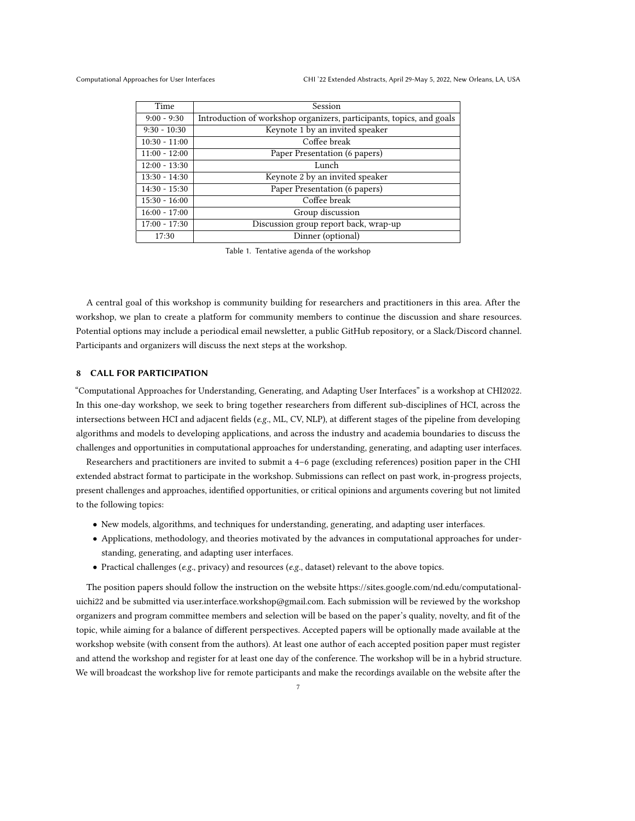Computational Approaches for User Interfaces CHI '22 Extended Abstracts, April 29-May 5, 2022, New Orleans, LA, USA

| Time            | Session                                                              |
|-----------------|----------------------------------------------------------------------|
| $9:00 - 9:30$   | Introduction of workshop organizers, participants, topics, and goals |
| $9:30 - 10:30$  | Keynote 1 by an invited speaker                                      |
| $10:30 - 11:00$ | Coffee break                                                         |
| $11:00 - 12:00$ | Paper Presentation (6 papers)                                        |
| $12:00 - 13:30$ | Lunch                                                                |
| $13:30 - 14:30$ | Keynote 2 by an invited speaker                                      |
| $14:30 - 15:30$ | Paper Presentation (6 papers)                                        |
| $15:30 - 16:00$ | Coffee break                                                         |
| $16:00 - 17:00$ | Group discussion                                                     |
| $17:00 - 17:30$ | Discussion group report back, wrap-up                                |
| 17:30           | Dinner (optional)                                                    |

Table 1. Tentative agenda of the workshop

A central goal of this workshop is community building for researchers and practitioners in this area. After the workshop, we plan to create a platform for community members to continue the discussion and share resources. Potential options may include a periodical email newsletter, a public GitHub repository, or a Slack/Discord channel. Participants and organizers will discuss the next steps at the workshop.

# 8 CALL FOR PARTICIPATION

"Computational Approaches for Understanding, Generating, and Adapting User Interfaces" is a workshop at CHI2022. In this one-day workshop, we seek to bring together researchers from different sub-disciplines of HCI, across the intersections between HCI and adjacent fields (e.g., ML, CV, NLP), at different stages of the pipeline from developing algorithms and models to developing applications, and across the industry and academia boundaries to discuss the challenges and opportunities in computational approaches for understanding, generating, and adapting user interfaces.

Researchers and practitioners are invited to submit a 4–6 page (excluding references) position paper in the CHI extended abstract format to participate in the workshop. Submissions can reflect on past work, in-progress projects, present challenges and approaches, identified opportunities, or critical opinions and arguments covering but not limited to the following topics:

- New models, algorithms, and techniques for understanding, generating, and adapting user interfaces.
- Applications, methodology, and theories motivated by the advances in computational approaches for understanding, generating, and adapting user interfaces.
- Practical challenges (e.g., privacy) and resources (e.g., dataset) relevant to the above topics.

The position papers should follow the instruction on the website [https://sites.google.com/nd.edu/computational](https://sites.google.com/nd.edu/computational-uichi22)[uichi22](https://sites.google.com/nd.edu/computational-uichi22) and be submitted via [user.interface.workshop@gmail.com.](user.interface.workshop@gmail.com) Each submission will be reviewed by the workshop organizers and program committee members and selection will be based on the paper's quality, novelty, and fit of the topic, while aiming for a balance of different perspectives. Accepted papers will be optionally made available at the workshop website (with consent from the authors). At least one author of each accepted position paper must register and attend the workshop and register for at least one day of the conference. The workshop will be in a hybrid structure. We will broadcast the workshop live for remote participants and make the recordings available on the website after the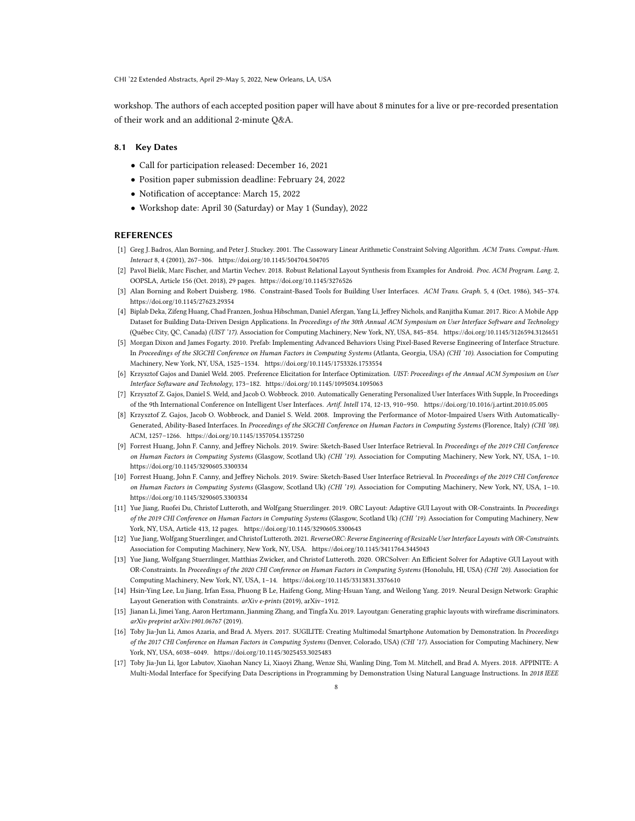CHI '22 Extended Abstracts, April 29-May 5, 2022, New Orleans, LA, USA

workshop. The authors of each accepted position paper will have about 8 minutes for a live or pre-recorded presentation of their work and an additional 2-minute Q&A.

# 8.1 Key Dates

- Call for participation released: December 16, 2021
- Position paper submission deadline: February 24, 2022
- Notification of acceptance: March 15, 2022
- Workshop date: April 30 (Saturday) or May 1 (Sunday), 2022

# REFERENCES

- <span id="page-7-11"></span>[1] Greg J. Badros, Alan Borning, and Peter J. Stuckey. 2001. The Cassowary Linear Arithmetic Constraint Solving Algorithm. ACM Trans. Comput.-Hum. Interact 8, 4 (2001), 267–306.<https://doi.org/10.1145/504704.504705>
- <span id="page-7-13"></span>[2] Pavol Bielik, Marc Fischer, and Martin Vechev. 2018. Robust Relational Layout Synthesis from Examples for Android. Proc. ACM Program. Lang. 2, OOPSLA, Article 156 (Oct. 2018), 29 pages.<https://doi.org/10.1145/3276526>
- <span id="page-7-0"></span>[3] Alan Borning and Robert Duisberg. 1986. Constraint-Based Tools for Building User Interfaces. ACM Trans. Graph. 5, 4 (Oct. 1986), 345–374. <https://doi.org/10.1145/27623.29354>
- <span id="page-7-8"></span>[4] Biplab Deka, Zifeng Huang, Chad Franzen, Joshua Hibschman, Daniel Afergan, Yang Li, Jeffrey Nichols, and Ranjitha Kumar. 2017. Rico: A Mobile App Dataset for Building Data-Driven Design Applications. In Proceedings of the 30th Annual ACM Symposium on User Interface Software and Technology (Québec City, QC, Canada) (UIST '17). Association for Computing Machinery, New York, NY, USA, 845–854.<https://doi.org/10.1145/3126594.3126651>
- <span id="page-7-12"></span>[5] Morgan Dixon and James Fogarty. 2010. Prefab: Implementing Advanced Behaviors Using Pixel-Based Reverse Engineering of Interface Structure. In Proceedings of the SIGCHI Conference on Human Factors in Computing Systems (Atlanta, Georgia, USA) (CHI '10). Association for Computing Machinery, New York, NY, USA, 1525–1534.<https://doi.org/10.1145/1753326.1753554>
- <span id="page-7-9"></span>[6] Krzysztof Gajos and Daniel Weld. 2005. Preference Elicitation for Interface Optimization. UIST: Proceedings of the Annual ACM Symposium on User Interface Softaware and Technology, 173–182.<https://doi.org/10.1145/1095034.1095063>
- <span id="page-7-1"></span>[7] Krzysztof Z. Gajos, Daniel S. Weld, and Jacob O. Wobbrock. 2010. Automatically Generating Personalized User Interfaces With Supple, In Proceedings of the 9th International Conference on Intelligent User Interfaces. Artif. Intell 174, 12-13, 910–950.<https://doi.org/10.1016/j.artint.2010.05.005>
- <span id="page-7-10"></span>[8] Krzysztof Z. Gajos, Jacob O. Wobbrock, and Daniel S. Weld. 2008. Improving the Performance of Motor-Impaired Users With Automatically-Generated, Ability-Based Interfaces. In Proceedings of the SIGCHI Conference on Human Factors in Computing Systems (Florence, Italy) (CHI '08). ACM, 1257–1266.<https://doi.org/10.1145/1357054.1357250>
- <span id="page-7-3"></span>[9] Forrest Huang, John F. Canny, and Jeffrey Nichols. 2019. Swire: Sketch-Based User Interface Retrieval. In Proceedings of the 2019 CHI Conference on Human Factors in Computing Systems (Glasgow, Scotland Uk) (CHI '19). Association for Computing Machinery, New York, NY, USA, 1–10. <https://doi.org/10.1145/3290605.3300334>
- <span id="page-7-14"></span>[10] Forrest Huang, John F. Canny, and Jeffrey Nichols. 2019. Swire: Sketch-Based User Interface Retrieval. In Proceedings of the 2019 CHI Conference on Human Factors in Computing Systems (Glasgow, Scotland Uk) (CHI '19). Association for Computing Machinery, New York, NY, USA, 1–10. <https://doi.org/10.1145/3290605.3300334>
- <span id="page-7-6"></span>[11] Yue Jiang, Ruofei Du, Christof Lutteroth, and Wolfgang Stuerzlinger. 2019. ORC Layout: Adaptive GUI Layout with OR-Constraints. In Proceedings of the 2019 CHI Conference on Human Factors in Computing Systems (Glasgow, Scotland Uk) (CHI '19). Association for Computing Machinery, New York, NY, USA, Article 413, 12 pages.<https://doi.org/10.1145/3290605.3300643>
- <span id="page-7-2"></span>[12] Yue Jiang, Wolfgang Stuerzlinger, and Christof Lutteroth. 2021. ReverseORC: Reverse Engineering of Resizable User Interface Layouts with OR-Constraints. Association for Computing Machinery, New York, NY, USA.<https://doi.org/10.1145/3411764.3445043>
- <span id="page-7-7"></span>[13] Yue Jiang, Wolfgang Stuerzlinger, Matthias Zwicker, and Christof Lutteroth. 2020. ORCSolver: An Efficient Solver for Adaptive GUI Layout with OR-Constraints. In Proceedings of the 2020 CHI Conference on Human Factors in Computing Systems (Honolulu, HI, USA) (CHI '20). Association for Computing Machinery, New York, NY, USA, 1–14.<https://doi.org/10.1145/3313831.3376610>
- <span id="page-7-4"></span>[14] Hsin-Ying Lee, Lu Jiang, Irfan Essa, Phuong B Le, Haifeng Gong, Ming-Hsuan Yang, and Weilong Yang. 2019. Neural Design Network: Graphic Layout Generation with Constraints. arXiv e-prints (2019), arXiv–1912.
- <span id="page-7-15"></span>[15] Jianan Li, Jimei Yang, Aaron Hertzmann, Jianming Zhang, and Tingfa Xu. 2019. Layoutgan: Generating graphic layouts with wireframe discriminators. arXiv preprint arXiv:1901.06767 (2019).
- <span id="page-7-5"></span>[16] Toby Jia-Jun Li, Amos Azaria, and Brad A. Myers. 2017. SUGILITE: Creating Multimodal Smartphone Automation by Demonstration. In Proceedings of the 2017 CHI Conference on Human Factors in Computing Systems (Denver, Colorado, USA) (CHI '17). Association for Computing Machinery, New York, NY, USA, 6038–6049.<https://doi.org/10.1145/3025453.3025483>
- <span id="page-7-16"></span>[17] Toby Jia-Jun Li, Igor Labutov, Xiaohan Nancy Li, Xiaoyi Zhang, Wenze Shi, Wanling Ding, Tom M. Mitchell, and Brad A. Myers. 2018. APPINITE: A Multi-Modal Interface for Specifying Data Descriptions in Programming by Demonstration Using Natural Language Instructions. In 2018 IEEE